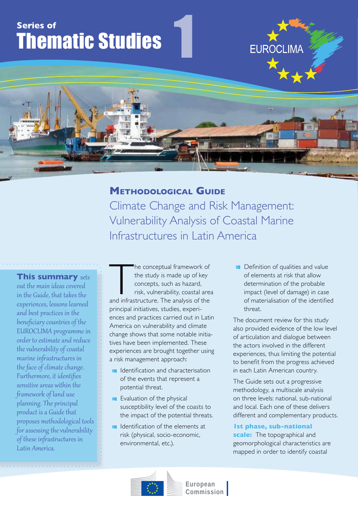# **Series of** Thematic Studies

# **Methodological Guide**

1

Climate Change and Risk Management: Vulnerability Analysis of Coastal Marine Infrastructures in Latin America

**This summary** sets out the main ideas covered in the Guide, that takes the experiences, lessons learned and best practices in the beneficiary countries of the EUROCLIMA programme in order to estimate and reduce the vulnerability of coastal marine infrastructures in the face of climate change. Furthermore, it identifies sensitive areas within the framework of land use planning. The principal product is a Guide that proposes methodological tools for assessing the vulnerability of these infrastructures in Latin America.

The conceptual framework of<br>the study is made up of key<br>concepts, such as hazard,<br>risk, vulnerability, coastal area<br>and infrastructure. The analysis of the he conceptual framework of the study is made up of key concepts, such as hazard, risk, vulnerability, coastal area principal initiatives, studies, experiences and practices carried out in Latin America on vulnerability and climate change shows that some notable initiatives have been implemented. These experiences are brought together using a risk management approach:

- In Identification and characterisation of the events that represent a potential threat.
- **EValuation of the physical** susceptibility level of the coasts to the impact of the potential threats.
- In Identification of the elements at risk (physical, socio-economic, environmental, etc.).

**Definition of qualities and value** of elements at risk that allow determination of the probable impact (level of damage) in case of materialisation of the identified threat.

**EUROCLIMA** 

The document review for this study also provided evidence of the low level of articulation and dialogue between the actors involved in the different experiences, thus limiting the potential to benefit from the progress achieved in each Latin American country.

The Guide sets out a progressive methodology, a multiscale analysis on three levels: national, sub-national and local. Each one of these delivers different and complementary products.

## **1st phase, sub-national**

**scale:** The topographical and geomorphological characteristics are mapped in order to identify coastal